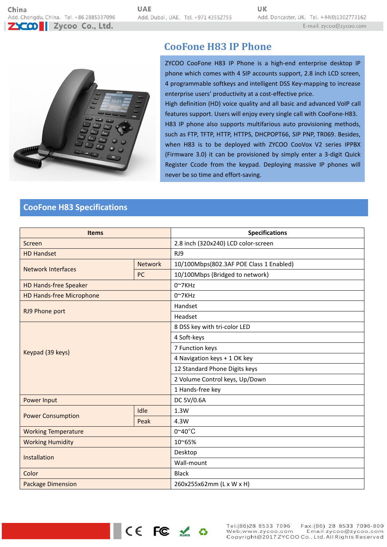

# **CooFone H83 IP Phone**

ZYCOO CooFone H83 IP Phone is a high-end enterprise desktop IP phone which comes with 4 SIP accounts support, 2.8 inch LCD screen, 4 programmable softkeys and intelligent DSS Key-mapping to increase enterprise users' productivity at a cost-effective price.

High definition (HD) voice quality and all basic and advanced VoIP call features support. Users will enjoy every single call with CooFone-H83. H83 IP phone also supports multifarious auto provisioning methods,<br>such as FTP, TFTP, HTTP, HTTPS, DHCPOPT66, SIP PNP, TR069. Besides, when H83 is to be deployed with ZYCOO CooVox V2 series IPPBX (Firmware 3.0) it can be provisioned by simply enter a 3-digit Quick Register Ccode from the keypad. Deploying massive IP phones will never be so time and effort-saving.

# **CooFone H83 Specifications**

| <b>Items</b>                    |                | <b>Specifications</b>                   |
|---------------------------------|----------------|-----------------------------------------|
| Screen                          |                | 2.8 inch (320x240) LCD color-screen     |
| <b>HD Handset</b>               |                | RJ9                                     |
| <b>Network Interfaces</b>       | <b>Network</b> | 10/100Mbps(802.3AF POE Class 1 Enabled) |
|                                 | <b>PC</b>      | 10/100Mbps (Bridged to network)         |
| <b>HD Hands-free Speaker</b>    |                | $0^{\sim}7$ KHz                         |
| <b>HD Hands-free Microphone</b> |                | $0^{\sim}7$ KHz                         |
| RJ9 Phone port                  |                | Handset                                 |
|                                 |                | Headset                                 |
| Keypad (39 keys)                |                | 8 DSS key with tri-color LED            |
|                                 |                | 4 Soft-keys                             |
|                                 |                | 7 Function keys                         |
|                                 |                | 4 Navigation keys + 1 OK key            |
|                                 |                | 12 Standard Phone Digits keys           |
|                                 |                | 2 Volume Control keys, Up/Down          |
|                                 |                | 1 Hands-free key                        |
| Power Input                     |                | DC 5V/0.6A                              |
| <b>Power Consumption</b>        | Idle           | 1.3W                                    |
|                                 | Peak           | 4.3W                                    |
| <b>Working Temperature</b>      |                | $0^{\circ}40^{\circ}$ C                 |
| <b>Working Humidity</b>         |                | 10~65%                                  |
| Installation                    |                | Desktop                                 |
|                                 |                | Wall-mount                              |
| Color                           |                | <b>Black</b>                            |
| <b>Package Dimension</b>        |                | 260x255x62mm (L x W x H)                |

CE FC X O